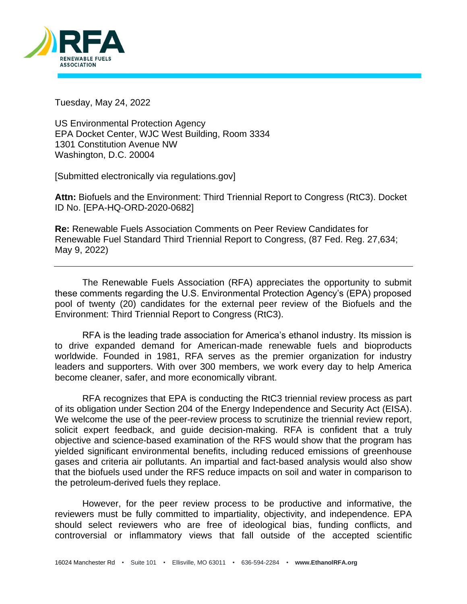

Tuesday, May 24, 2022

US Environmental Protection Agency EPA Docket Center, WJC West Building, Room 3334 1301 Constitution Avenue NW Washington, D.C. 20004

[Submitted electronically via regulations.gov]

**Attn:** Biofuels and the Environment: Third Triennial Report to Congress (RtC3). Docket ID No. [EPA-HQ-ORD-2020-0682]

**Re:** Renewable Fuels Association Comments on Peer Review Candidates for Renewable Fuel Standard Third Triennial Report to Congress, (87 Fed. Reg. 27,634; May 9, 2022)

The Renewable Fuels Association (RFA) appreciates the opportunity to submit these comments regarding the U.S. Environmental Protection Agency's (EPA) proposed pool of twenty (20) candidates for the external peer review of the Biofuels and the Environment: Third Triennial Report to Congress (RtC3).

RFA is the leading trade association for America's ethanol industry. Its mission is to drive expanded demand for American-made renewable fuels and bioproducts worldwide. Founded in 1981, RFA serves as the premier organization for industry leaders and supporters. With over 300 members, we work every day to help America become cleaner, safer, and more economically vibrant.

RFA recognizes that EPA is conducting the RtC3 triennial review process as part of its obligation under Section 204 of the Energy Independence and Security Act (EISA). We welcome the use of the peer-review process to scrutinize the triennial review report, solicit expert feedback, and guide decision-making. RFA is confident that a truly objective and science-based examination of the RFS would show that the program has yielded significant environmental benefits, including reduced emissions of greenhouse gases and criteria air pollutants. An impartial and fact-based analysis would also show that the biofuels used under the RFS reduce impacts on soil and water in comparison to the petroleum-derived fuels they replace.

However, for the peer review process to be productive and informative, the reviewers must be fully committed to impartiality, objectivity, and independence. EPA should select reviewers who are free of ideological bias, funding conflicts, and controversial or inflammatory views that fall outside of the accepted scientific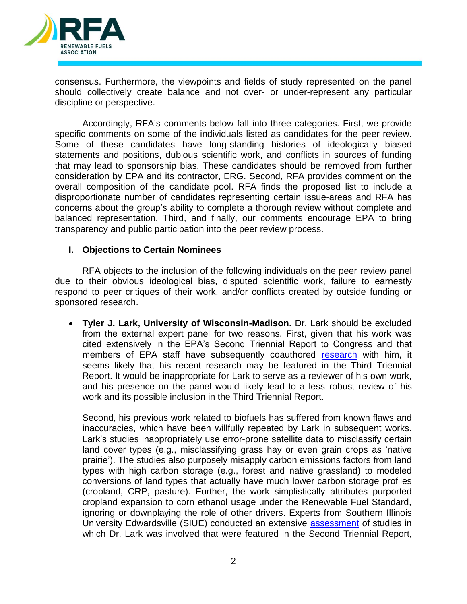

consensus. Furthermore, the viewpoints and fields of study represented on the panel should collectively create balance and not over- or under-represent any particular discipline or perspective.

Accordingly, RFA's comments below fall into three categories. First, we provide specific comments on some of the individuals listed as candidates for the peer review. Some of these candidates have long-standing histories of ideologically biased statements and positions, dubious scientific work, and conflicts in sources of funding that may lead to sponsorship bias. These candidates should be removed from further consideration by EPA and its contractor, ERG. Second, RFA provides comment on the overall composition of the candidate pool. RFA finds the proposed list to include a disproportionate number of candidates representing certain issue-areas and RFA has concerns about the group's ability to complete a thorough review without complete and balanced representation. Third, and finally, our comments encourage EPA to bring transparency and public participation into the peer review process.

## **I. Objections to Certain Nominees**

RFA objects to the inclusion of the following individuals on the peer review panel due to their obvious ideological bias, disputed scientific work, failure to earnestly respond to peer critiques of their work, and/or conflicts created by outside funding or sponsored research.

• **Tyler J. Lark, University of Wisconsin-Madison.** Dr. Lark should be excluded from the external expert panel for two reasons. First, given that his work was cited extensively in the EPA's Second Triennial Report to Congress and that members of EPA staff have subsequently coauthored [research](https://iopscience.iop.org/article/10.1088/1748-9326/abecbe/meta) with him, it seems likely that his recent research may be featured in the Third Triennial Report. It would be inappropriate for Lark to serve as a reviewer of his own work, and his presence on the panel would likely lead to a less robust review of his work and its possible inclusion in the Third Triennial Report.

Second, his previous work related to biofuels has suffered from known flaws and inaccuracies, which have been willfully repeated by Lark in subsequent works. Lark's studies inappropriately use error-prone satellite data to misclassify certain land cover types (e.g., misclassifying grass hay or even grain crops as 'native prairie'). The studies also purposely misapply carbon emissions factors from land types with high carbon storage (e.g., forest and native grassland) to modeled conversions of land types that actually have much lower carbon storage profiles (cropland, CRP, pasture). Further, the work simplistically attributes purported cropland expansion to corn ethanol usage under the Renewable Fuel Standard, ignoring or downplaying the role of other drivers. Experts from Southern Illinois University Edwardsville (SIUE) conducted an extensive [assessment](https://ethanolrfa.org/file/1834/SIUE-Review-of-Land-Use-Change-Literature-07-2019.pdf) of studies in which Dr. Lark was involved that were featured in the Second Triennial Report,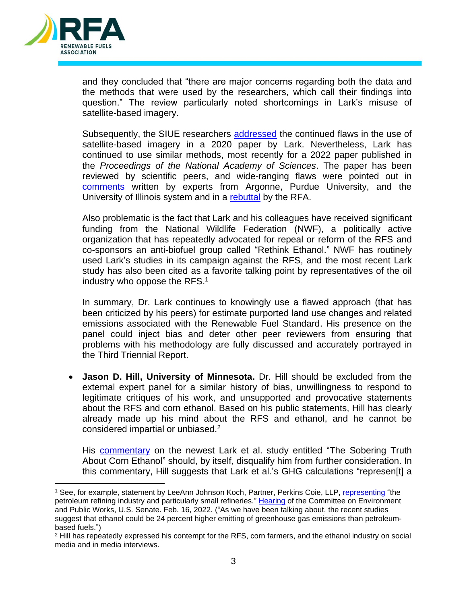

and they concluded that "there are major concerns regarding both the data and the methods that were used by the researchers, which call their findings into question." The review particularly noted shortcomings in Lark's misuse of satellite-based imagery.

Subsequently, the SIUE researchers [addressed](https://ethanolrfa.org/file/1833/SIUE-Rebuttal-on-USDA-CDL-Use.pdf) the continued flaws in the use of satellite-based imagery in a 2020 paper by Lark. Nevertheless, Lark has continued to use similar methods, most recently for a 2022 paper published in the *Proceedings of the National Academy of Sciences*. The paper has been reviewed by scientific peers, and wide-ranging flaws were pointed out in [comments](https://greet.es.anl.gov/publication-comment_environ_outcomes_us_rfs) written by experts from Argonne, Purdue University, and the University of Illinois system and in a [rebuttal](https://ethanolrfa.org/file/2211/RFA%20Rebuttal%20to%20Lark%20et%20al%20PNAS%20Report%20FINAL.pdf) by the RFA.

Also problematic is the fact that Lark and his colleagues have received significant funding from the National Wildlife Federation (NWF), a politically active organization that has repeatedly advocated for repeal or reform of the RFS and co-sponsors an anti-biofuel group called "Rethink Ethanol." NWF has routinely used Lark's studies in its campaign against the RFS, and the most recent Lark study has also been cited as a favorite talking point by representatives of the oil industry who oppose the RFS. $1$ 

In summary, Dr. Lark continues to knowingly use a flawed approach (that has been criticized by his peers) for estimate purported land use changes and related emissions associated with the Renewable Fuel Standard. His presence on the panel could inject bias and deter other peer reviewers from ensuring that problems with his methodology are fully discussed and accurately portrayed in the Third Triennial Report.

• **Jason D. Hill, University of Minnesota.** Dr. Hill should be excluded from the external expert panel for a similar history of bias, unwillingness to respond to legitimate critiques of his work, and unsupported and provocative statements about the RFS and corn ethanol. Based on his public statements, Hill has clearly already made up his mind about the RFS and ethanol, and he cannot be considered impartial or unbiased.<sup>2</sup>

His [commentary](https://www.pnas.org/doi/full/10.1073/pnas.2200997119) on the newest Lark et al. study entitled "The Sobering Truth About Corn Ethanol" should, by itself, disqualify him from further consideration. In this commentary, Hill suggests that Lark et al.'s GHG calculations "represen[t] a

<sup>1</sup> See, for example, statement by LeeAnn Johnson Koch, Partner, Perkins Coie, LLP, [representing](https://www.epw.senate.gov/public/_cache/files/2/6/268510aa-aec3-4d41-9ecb-33939f9e39d1/94D608157BE5E4B793A0569533D9A3B3.02-16-2022-johnson-koch-testimony.pdf) "the petroleum refining industry and particularly small refineries." [Hearing](https://www.epw.senate.gov/public/_cache/files/c/d/cdd309b5-7ccc-4882-821c-89d6ae800447/CCC780279E147B423E55DE9D86529B04.spw-02162022.pdf) of the Committee on Environment and Public Works, U.S. Senate. Feb. 16, 2022. ("As we have been talking about, the recent studies suggest that ethanol could be 24 percent higher emitting of greenhouse gas emissions than petroleumbased fuels.")

<sup>2</sup> Hill has repeatedly expressed his contempt for the RFS, corn farmers, and the ethanol industry on social media and in media interviews.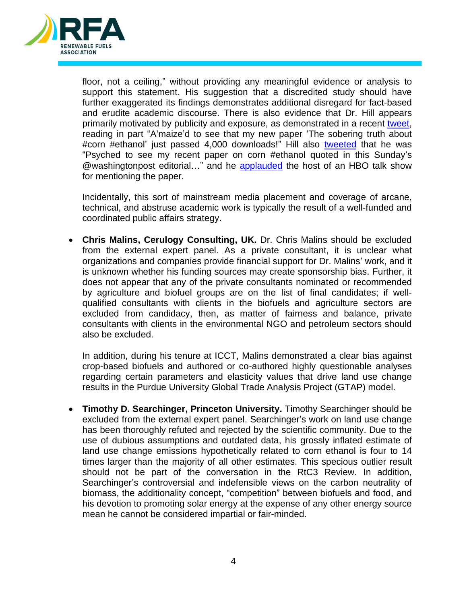

floor, not a ceiling," without providing any meaningful evidence or analysis to support this statement. His suggestion that a discredited study should have further exaggerated its findings demonstrates additional disregard for fact-based and erudite academic discourse. There is also evidence that Dr. Hill appears primarily motivated by publicity and exposure, as demonstrated in a recent [tweet,](https://twitter.com/jdhill/status/1526923921731330050) reading in part "A'maize'd to see that my new paper 'The sobering truth about #corn #ethanol' just passed 4,000 downloads!" Hill also [tweeted](https://twitter.com/jdhill/status/1516084458427932682?s=20&t=YGTpLmxA4Y4EFnGMZGDnlw) that he was "Psyched to see my recent paper on corn #ethanol quoted in this Sunday's @washingtonpost editorial..." and he [applauded](https://twitter.com/jdhill/status/1521149008592396288?s=20&t=YGTpLmxA4Y4EFnGMZGDnlw) the host of an HBO talk show for mentioning the paper.

Incidentally, this sort of mainstream media placement and coverage of arcane, technical, and abstruse academic work is typically the result of a well-funded and coordinated public affairs strategy.

• **Chris Malins, Cerulogy Consulting, UK.** Dr. Chris Malins should be excluded from the external expert panel. As a private consultant, it is unclear what organizations and companies provide financial support for Dr. Malins' work, and it is unknown whether his funding sources may create sponsorship bias. Further, it does not appear that any of the private consultants nominated or recommended by agriculture and biofuel groups are on the list of final candidates; if wellqualified consultants with clients in the biofuels and agriculture sectors are excluded from candidacy, then, as matter of fairness and balance, private consultants with clients in the environmental NGO and petroleum sectors should also be excluded.

In addition, during his tenure at ICCT, Malins demonstrated a clear bias against crop-based biofuels and authored or co-authored highly questionable analyses regarding certain parameters and elasticity values that drive land use change results in the Purdue University Global Trade Analysis Project (GTAP) model.

• **Timothy D. Searchinger, Princeton University.** Timothy Searchinger should be excluded from the external expert panel. Searchinger's work on land use change has been thoroughly refuted and rejected by the scientific community. Due to the use of dubious assumptions and outdated data, his grossly inflated estimate of land use change emissions hypothetically related to corn ethanol is four to 14 times larger than the majority of all other estimates. This specious outlier result should not be part of the conversation in the RtC3 Review. In addition, Searchinger's controversial and indefensible views on the carbon neutrality of biomass, the additionality concept, "competition" between biofuels and food, and his devotion to promoting solar energy at the expense of any other energy source mean he cannot be considered impartial or fair-minded.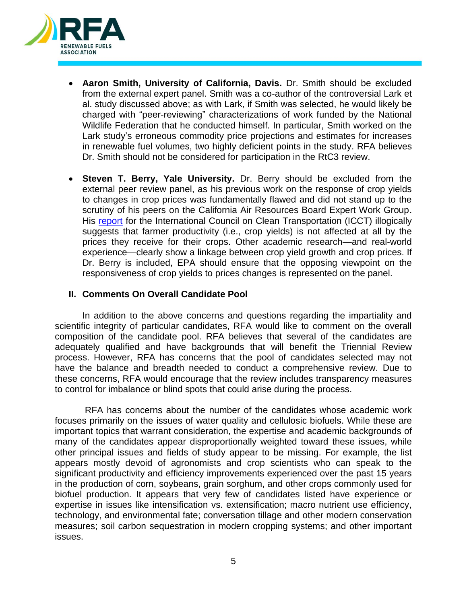

- **Aaron Smith, University of California, Davis.** Dr. Smith should be excluded from the external expert panel. Smith was a co-author of the controversial Lark et al. study discussed above; as with Lark, if Smith was selected, he would likely be charged with "peer-reviewing" characterizations of work funded by the National Wildlife Federation that he conducted himself. In particular, Smith worked on the Lark study's erroneous commodity price projections and estimates for increases in renewable fuel volumes, two highly deficient points in the study. RFA believes Dr. Smith should not be considered for participation in the RtC3 review.
- **Steven T. Berry, Yale University.** Dr. Berry should be excluded from the external peer review panel, as his previous work on the response of crop yields to changes in crop prices was fundamentally flawed and did not stand up to the scrutiny of his peers on the California Air Resources Board Expert Work Group. His [report](https://theicct.org/sites/default/files/publications/berry_schlenker_cropyieldelasticities_sep2011.pdf) for the International Council on Clean Transportation (ICCT) illogically suggests that farmer productivity (i.e., crop yields) is not affected at all by the prices they receive for their crops. Other academic research—and real-world experience—clearly show a linkage between crop yield growth and crop prices. If Dr. Berry is included, EPA should ensure that the opposing viewpoint on the responsiveness of crop yields to prices changes is represented on the panel.

## **II. Comments On Overall Candidate Pool**

In addition to the above concerns and questions regarding the impartiality and scientific integrity of particular candidates, RFA would like to comment on the overall composition of the candidate pool. RFA believes that several of the candidates are adequately qualified and have backgrounds that will benefit the Triennial Review process. However, RFA has concerns that the pool of candidates selected may not have the balance and breadth needed to conduct a comprehensive review. Due to these concerns, RFA would encourage that the review includes transparency measures to control for imbalance or blind spots that could arise during the process.

RFA has concerns about the number of the candidates whose academic work focuses primarily on the issues of water quality and cellulosic biofuels. While these are important topics that warrant consideration, the expertise and academic backgrounds of many of the candidates appear disproportionally weighted toward these issues, while other principal issues and fields of study appear to be missing. For example, the list appears mostly devoid of agronomists and crop scientists who can speak to the significant productivity and efficiency improvements experienced over the past 15 years in the production of corn, soybeans, grain sorghum, and other crops commonly used for biofuel production. It appears that very few of candidates listed have experience or expertise in issues like intensification vs. extensification; macro nutrient use efficiency, technology, and environmental fate; conversation tillage and other modern conservation measures; soil carbon sequestration in modern cropping systems; and other important issues.